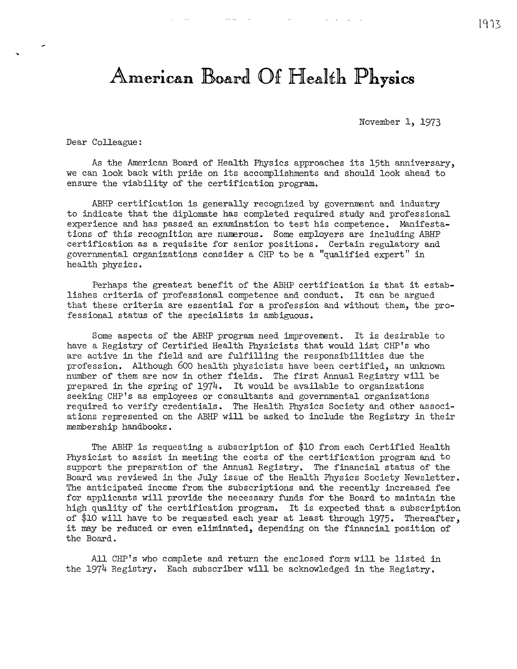## **American Board Of Health Physics**

November 1, 1973

Dear Colleague:

As the American Board of Health Physics approaches its 15th anniversary, we can look back with pride on its accomplishments and should look ahead to ensure the viability of the certification program.

ABHP certification is generally recognized by government and industry to indicate that the diplornate has completed required study and professional experience and has passed an examination to test his competence. Manifestations of this recognition are numerous. Some employers are including ABHP certification as a requisite for senior positions. Certain regulatory and governmental organizations consider a CHP to be a "qualified expert" in health physics.

Perhaps the greatest benefit of the ABHP certification is that it establishes criteria of professional competence and conduct. It can be argued that these criteria are essential for a profession and without them, the professional status of the specialists is ambiguous.

Some aspects of the ABHP program need improvement. It is desirable to have a Registry of Certified Health Physicists that would list CHP's who are active in the field and are fulfilling the responsibilities due the profession. Although 600 health physicists have been certified, an unknown number of them are now in other fields. The first Annual Registry will be prepared in the spring of 1974. It would be available to organizations seeking CHP's as employees or consultants and governmental organizations required to verify credentials. The Health Physics Society and other associations represented on the ABHP will be asked to include the Registry in their membership handbooks.

The ABHP is requesting a subscription of \$10 from each Certified Health Physicist to assist in meeting the costs of the certification program and to support the preparation of the Annual Registry. The financial status of the Board was reviewed in the July issue of the Health Physics Society Newsletter. The anticipated income from the subscriptions and the recently increased fee for applicants will provide the necessary funds for the Board to maintain the high quality of the certification program. It is expected that a subscription of \$10 will have to be requested each year at least through 1975. Thereafter, it may be reduced or even eliminated, depending on the financial position of the Board.

All CHP's who complete and return the enclosed form will be listed in the 1974 Registry. Each subscriber will be acknowledged in the Registry.